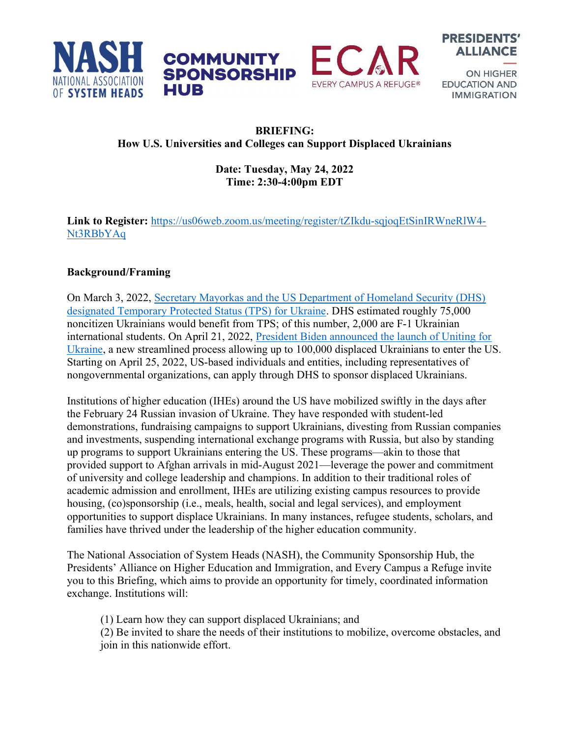





**ON HIGHER EDUCATION AND IMMIGRATION** 

## BRIEFING: How U.S. Universities and Colleges can Support Displaced Ukrainians

**COMMUNITY SPONSORSHIP** 

HUB

## Date: Tuesday, May 24, 2022 Time: 2:30-4:00pm EDT

Link to Register: https://us06web.zoom.us/meeting/register/tZIkdu-sqjoqEtSinIRWneRlW4- Nt3RBbYAq

## Background/Framing

On March 3, 2022, Secretary Mayorkas and the US Department of Homeland Security (DHS) designated Temporary Protected Status (TPS) for Ukraine. DHS estimated roughly 75,000 noncitizen Ukrainians would benefit from TPS; of this number, 2,000 are F-1 Ukrainian international students. On April 21, 2022, President Biden announced the launch of Uniting for Ukraine, a new streamlined process allowing up to 100,000 displaced Ukrainians to enter the US. Starting on April 25, 2022, US-based individuals and entities, including representatives of nongovernmental organizations, can apply through DHS to sponsor displaced Ukrainians.

Institutions of higher education (IHEs) around the US have mobilized swiftly in the days after the February 24 Russian invasion of Ukraine. They have responded with student-led demonstrations, fundraising campaigns to support Ukrainians, divesting from Russian companies and investments, suspending international exchange programs with Russia, but also by standing up programs to support Ukrainians entering the US. These programs—akin to those that provided support to Afghan arrivals in mid-August 2021—leverage the power and commitment of university and college leadership and champions. In addition to their traditional roles of academic admission and enrollment, IHEs are utilizing existing campus resources to provide housing, (co)sponsorship (i.e., meals, health, social and legal services), and employment opportunities to support displace Ukrainians. In many instances, refugee students, scholars, and families have thrived under the leadership of the higher education community.

The National Association of System Heads (NASH), the Community Sponsorship Hub, the Presidents' Alliance on Higher Education and Immigration, and Every Campus a Refuge invite you to this Briefing, which aims to provide an opportunity for timely, coordinated information exchange. Institutions will:

(1) Learn how they can support displaced Ukrainians; and

(2) Be invited to share the needs of their institutions to mobilize, overcome obstacles, and join in this nationwide effort.